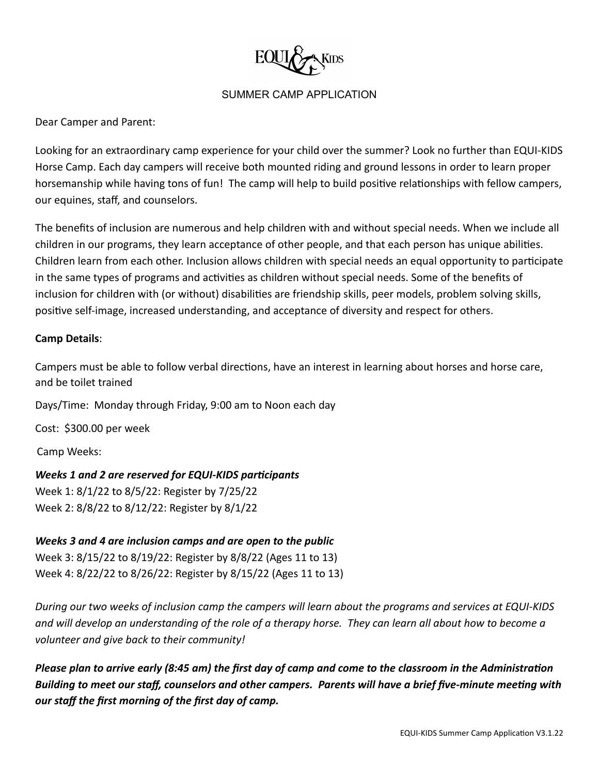

Dear Camper and Parent:

Looking for an extraordinary camp experience for your child over the summer? Look no further than EQUI-KIDS Horse Camp. Each day campers will receive both mounted riding and ground lessons in order to learn proper horsemanship while having tons of fun! The camp will help to build positive relationships with fellow campers, our equines, staff, and counselors.

The benefits of inclusion are numerous and help children with and without special needs. When we include all children in our programs, they learn acceptance of other people, and that each person has unique abilities. Children learn from each other. Inclusion allows children with special needs an equal opportunity to participate in the same types of programs and activities as children without special needs. Some of the benefits of inclusion for children with (or without) disabilities are friendship skills, peer models, problem solving skills, positive self-image, increased understanding, and acceptance of diversity and respect for others.

## **Camp Details**:

Campers must be able to follow verbal directions, have an interest in learning about horses and horse care, and be toilet trained

Days/Time: Monday through Friday, 9:00 am to Noon each day

Cost: \$300.00 per week

Camp Weeks:

*Weeks 1 and 2 are reserved for EQUI-KIDS parcipants* Week 1: 8/1/22 to 8/5/22: Register by 7/25/22 Week 2: 8/8/22 to 8/12/22: Register by 8/1/22

*Weeks 3 and 4 are inclusion camps and are open to the public*

Week 3: 8/15/22 to 8/19/22: Register by 8/8/22 (Ages 11 to 13) Week 4: 8/22/22 to 8/26/22: Register by 8/15/22 (Ages 11 to 13)

*During our two weeks of inclusion camp the campers will learn about the programs and services at EQUI-KIDS and will develop an understanding of the role of a therapy horse. They can learn all about how to become a volunteer and give back to their community!*

*Please plan to arrive early (8:45 am) the first day of camp and come to the classroom in the Administration Building to meet our staff, counselors and other campers. Parents will have a brief five-minute meeting with our staff the first morning of the first day of camp.*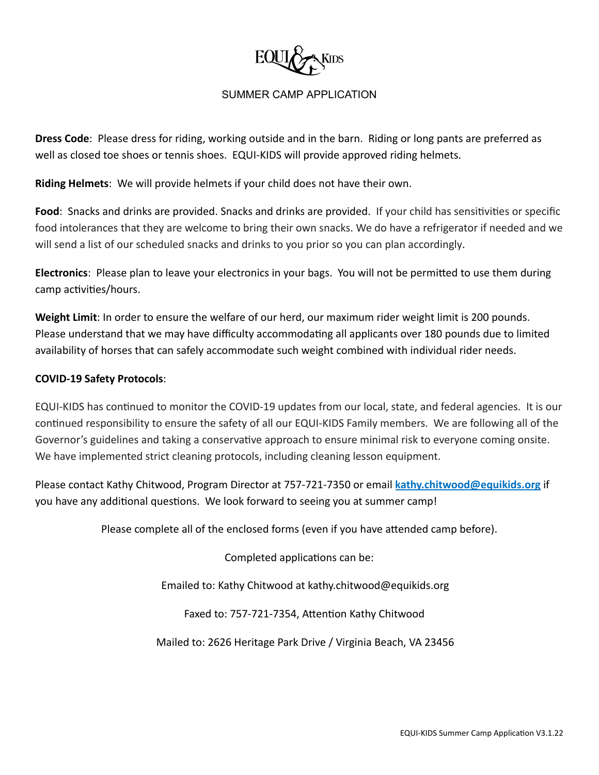

**Dress Code**: Please dress for riding, working outside and in the barn. Riding or long pants are preferred as well as closed toe shoes or tennis shoes. EQUI-KIDS will provide approved riding helmets.

**Riding Helmets**: We will provide helmets if your child does not have their own.

**Food**: Snacks and drinks are provided. Snacks and drinks are provided. If your child has sensitivities or specific food intolerances that they are welcome to bring their own snacks. We do have a refrigerator if needed and we will send a list of our scheduled snacks and drinks to you prior so you can plan accordingly.

**Electronics**: Please plan to leave your electronics in your bags. You will not be permitted to use them during camp activities/hours.

**Weight Limit**: In order to ensure the welfare of our herd, our maximum rider weight limit is 200 pounds. Please understand that we may have difficulty accommodating all applicants over 180 pounds due to limited availability of horses that can safely accommodate such weight combined with individual rider needs.

### **COVID-19 Safety Protocols**:

EQUI-KIDS has continued to monitor the COVID-19 updates from our local, state, and federal agencies. It is our continued responsibility to ensure the safety of all our EQUI-KIDS Family members. We are following all of the Governor's guidelines and taking a conservative approach to ensure minimal risk to everyone coming onsite. We have implemented strict cleaning protocols, including cleaning lesson equipment.

Please contact Kathy Chitwood, Program Director at 757-721-7350 or email **kathy.chitwood@equikids.org** if you have any additional questions. We look forward to seeing you at summer camp!

Please complete all of the enclosed forms (even if you have attended camp before).

Completed applications can be:

Emailed to: Kathy Chitwood at kathy.chitwood@equikids.org

Faxed to: 757-721-7354, Attention Kathy Chitwood

Mailed to: 2626 Heritage Park Drive / Virginia Beach, VA 23456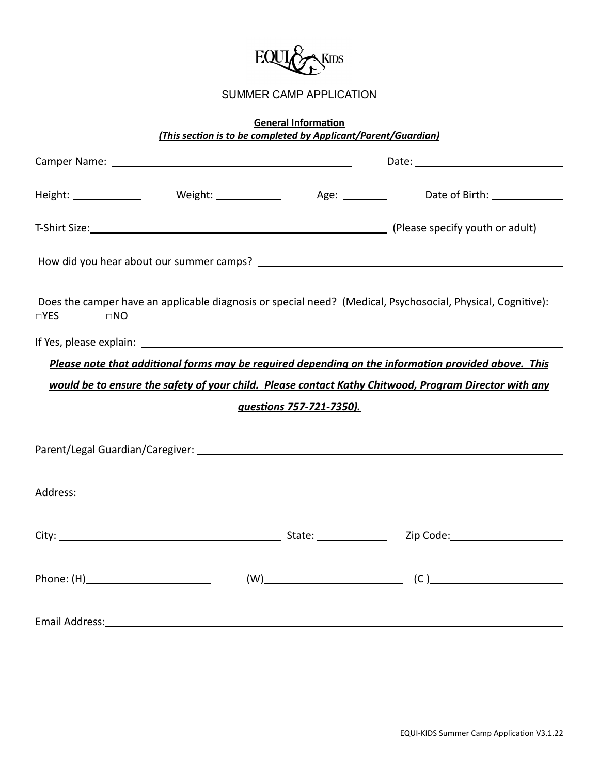

# **General Information** *(This section is to be completed by Applicant/Parent/Guardian)*

| Camper Name: <u>and a series are allegened</u>                                                        |                                                                                                                                                                                                                               |  |                                                                                                             |  |  |  |
|-------------------------------------------------------------------------------------------------------|-------------------------------------------------------------------------------------------------------------------------------------------------------------------------------------------------------------------------------|--|-------------------------------------------------------------------------------------------------------------|--|--|--|
|                                                                                                       |                                                                                                                                                                                                                               |  | Height: _______________   Weight: ______________   Age: _________   Date of Birth: ________________         |  |  |  |
|                                                                                                       |                                                                                                                                                                                                                               |  | T-Shirt Size: 1992 [Please specify youth or adult)                                                          |  |  |  |
|                                                                                                       |                                                                                                                                                                                                                               |  |                                                                                                             |  |  |  |
| $\square$ YES<br>$\Box NO$                                                                            |                                                                                                                                                                                                                               |  | Does the camper have an applicable diagnosis or special need? (Medical, Psychosocial, Physical, Cognitive): |  |  |  |
|                                                                                                       |                                                                                                                                                                                                                               |  |                                                                                                             |  |  |  |
| Please note that additional forms may be required depending on the information provided above. This   |                                                                                                                                                                                                                               |  |                                                                                                             |  |  |  |
| would be to ensure the safety of your child. Please contact Kathy Chitwood, Program Director with any |                                                                                                                                                                                                                               |  |                                                                                                             |  |  |  |
| questions 757-721-7350).                                                                              |                                                                                                                                                                                                                               |  |                                                                                                             |  |  |  |
|                                                                                                       |                                                                                                                                                                                                                               |  |                                                                                                             |  |  |  |
|                                                                                                       |                                                                                                                                                                                                                               |  |                                                                                                             |  |  |  |
|                                                                                                       |                                                                                                                                                                                                                               |  |                                                                                                             |  |  |  |
|                                                                                                       |                                                                                                                                                                                                                               |  |                                                                                                             |  |  |  |
|                                                                                                       |                                                                                                                                                                                                                               |  |                                                                                                             |  |  |  |
|                                                                                                       |                                                                                                                                                                                                                               |  | $\begin{array}{c} \text{(W)} \end{array}$                                                                   |  |  |  |
|                                                                                                       |                                                                                                                                                                                                                               |  |                                                                                                             |  |  |  |
|                                                                                                       | Email Address: The Communication of the Communication of the Communication of the Communication of the Communication of the Communication of the Communication of the Communication of the Communication of the Communication |  |                                                                                                             |  |  |  |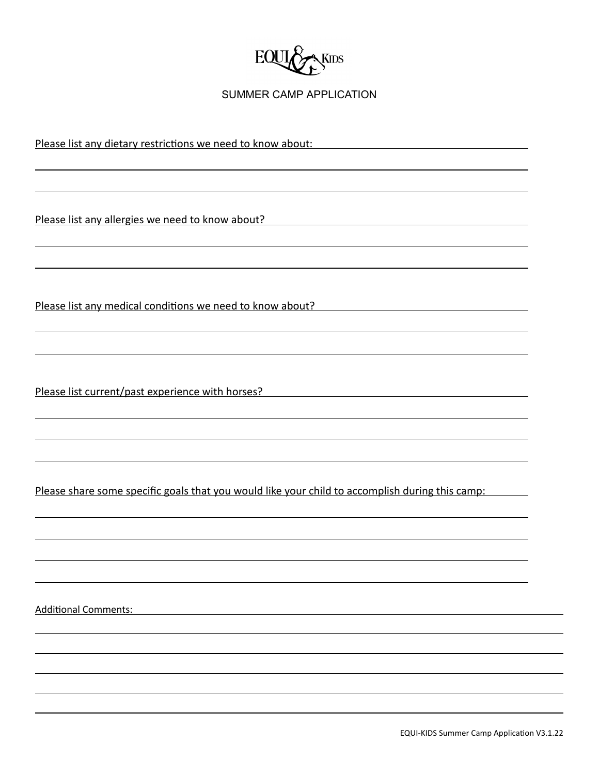

Please list any dietary restrictions we need to know about:

Please list any allergies we need to know about?

Please list any medical conditions we need to know about?

Please list current/past experience with horses?

Please share some specific goals that you would like your child to accomplish during this camp:

Additional Comments: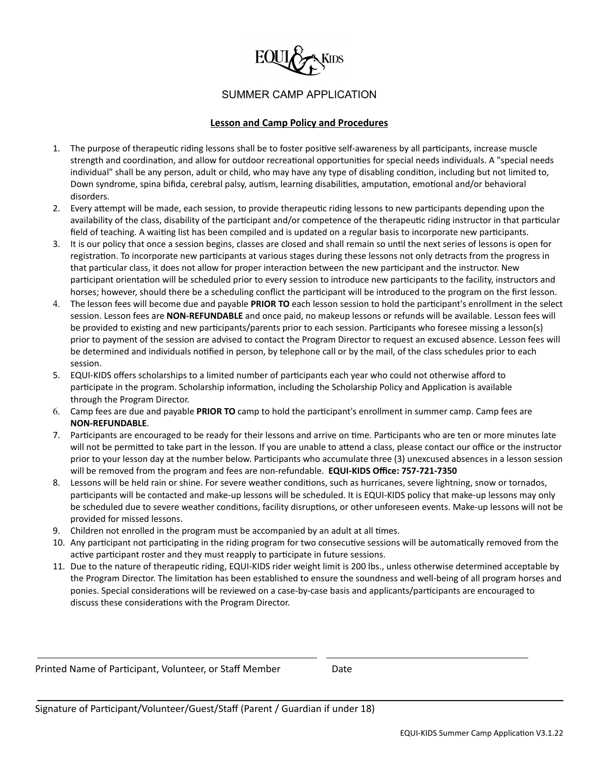

#### **Lesson and Camp Policy and Procedures**

- 1. The purpose of therapeutic riding lessons shall be to foster positive self-awareness by all participants, increase muscle strength and coordination, and allow for outdoor recreational opportunities for special needs individuals. A "special needs individual" shall be any person, adult or child, who may have any type of disabling condition, including but not limited to, Down syndrome, spina bifida, cerebral palsy, autism, learning disabilities, amputation, emotional and/or behavioral disorders.
- 2. Every attempt will be made, each session, to provide therapeutic riding lessons to new participants depending upon the availability of the class, disability of the participant and/or competence of the therapeutic riding instructor in that particular field of teaching. A waiting list has been compiled and is updated on a regular basis to incorporate new participants.
- 3. It is our policy that once a session begins, classes are closed and shall remain so until the next series of lessons is open for registration. To incorporate new participants at various stages during these lessons not only detracts from the progress in that particular class, it does not allow for proper interaction between the new participant and the instructor. New participant orientation will be scheduled prior to every session to introduce new participants to the facility, instructors and horses; however, should there be a scheduling conflict the participant will be introduced to the program on the first lesson.
- 4. The lesson fees will become due and payable **PRIOR TO** each lesson session to hold the parcipant's enrollment in the select session. Lesson fees are **NON-REFUNDABLE** and once paid, no makeup lessons or refunds will be available. Lesson fees will be provided to existing and new participants/parents prior to each session. Participants who foresee missing a lesson(s) prior to payment of the session are advised to contact the Program Director to request an excused absence. Lesson fees will be determined and individuals nofied in person, by telephone call or by the mail, of the class schedules prior to each session.
- 5. EQUI-KIDS offers scholarships to a limited number of parcipants each year who could not otherwise afford to participate in the program. Scholarship information, including the Scholarship Policy and Application is available through the Program Director.
- 6. Camp fees are due and payable **PRIOR TO** camp to hold the parcipant's enrollment in summer camp. Camp fees are **NON-REFUNDABLE**.
- 7. Participants are encouraged to be ready for their lessons and arrive on time. Participants who are ten or more minutes late will not be permitted to take part in the lesson. If you are unable to attend a class, please contact our office or the instructor prior to your lesson day at the number below. Parcipants who accumulate three (3) unexcused absences in a lesson session will be removed from the program and fees are non-refundable. **EQUI-KIDS Office: 757-721-7350**
- 8. Lessons will be held rain or shine. For severe weather conditions, such as hurricanes, severe lightning, snow or tornados, participants will be contacted and make-up lessons will be scheduled. It is EQUI-KIDS policy that make-up lessons may only be scheduled due to severe weather conditions, facility disruptions, or other unforeseen events. Make-up lessons will not be provided for missed lessons.
- 9. Children not enrolled in the program must be accompanied by an adult at all times.
- 10. Any participant not participating in the riding program for two consecutive sessions will be automatically removed from the active participant roster and they must reapply to participate in future sessions.
- 11. Due to the nature of therapeutic riding, EQUI-KIDS rider weight limit is 200 lbs., unless otherwise determined acceptable by the Program Director. The limitation has been established to ensure the soundness and well-being of all program horses and ponies. Special considerations will be reviewed on a case-by-case basis and applicants/participants are encouraged to discuss these considerations with the Program Director.

Printed Name of Participant, Volunteer, or Staff Member Date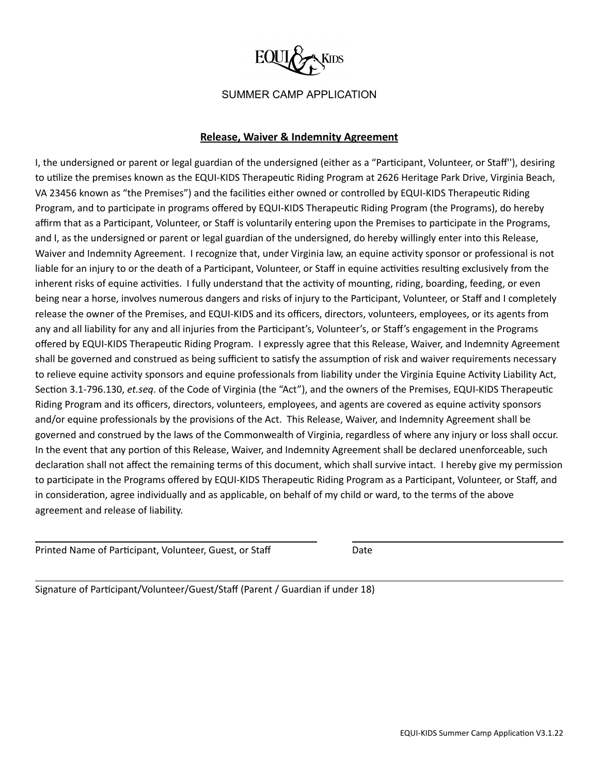

### **Release, Waiver & Indemnity Agreement**

I, the undersigned or parent or legal guardian of the undersigned (either as a "Parcipant, Volunteer, or Staff''), desiring to utilize the premises known as the EQUI-KIDS Therapeutic Riding Program at 2626 Heritage Park Drive, Virginia Beach, VA 23456 known as "the Premises") and the facilities either owned or controlled by EQUI-KIDS Therapeutic Riding Program, and to participate in programs offered by EQUI-KIDS Therapeutic Riding Program (the Programs), do hereby affirm that as a Participant, Volunteer, or Staff is voluntarily entering upon the Premises to participate in the Programs, and I, as the undersigned or parent or legal guardian of the undersigned, do hereby willingly enter into this Release, Waiver and Indemnity Agreement. I recognize that, under Virginia law, an equine activity sponsor or professional is not liable for an injury to or the death of a Participant, Volunteer, or Staff in equine activities resulting exclusively from the inherent risks of equine activities. I fully understand that the activity of mounting, riding, boarding, feeding, or even being near a horse, involves numerous dangers and risks of injury to the Participant, Volunteer, or Staff and I completely release the owner of the Premises, and EQUI-KIDS and its officers, directors, volunteers, employees, or its agents from any and all liability for any and all injuries from the Participant's, Volunteer's, or Staff's engagement in the Programs offered by EQUI-KIDS Therapeutic Riding Program. I expressly agree that this Release, Waiver, and Indemnity Agreement shall be governed and construed as being sufficient to satisfy the assumption of risk and waiver requirements necessary to relieve equine activity sponsors and equine professionals from liability under the Virginia Equine Activity Liability Act, Section 3.1-796.130, *et.seq*. of the Code of Virginia (the "Act"), and the owners of the Premises, EQUI-KIDS Therapeutic Riding Program and its officers, directors, volunteers, employees, and agents are covered as equine activity sponsors and/or equine professionals by the provisions of the Act. This Release, Waiver, and Indemnity Agreement shall be governed and construed by the laws of the Commonwealth of Virginia, regardless of where any injury or loss shall occur. In the event that any portion of this Release, Waiver, and Indemnity Agreement shall be declared unenforceable, such declaration shall not affect the remaining terms of this document, which shall survive intact. I hereby give my permission to participate in the Programs offered by EQUI-KIDS Therapeutic Riding Program as a Participant, Volunteer, or Staff, and in consideration, agree individually and as applicable, on behalf of my child or ward, to the terms of the above agreement and release of liability.

Printed Name of Participant, Volunteer, Guest, or Staff Date

Signature of Participant/Volunteer/Guest/Staff (Parent / Guardian if under 18)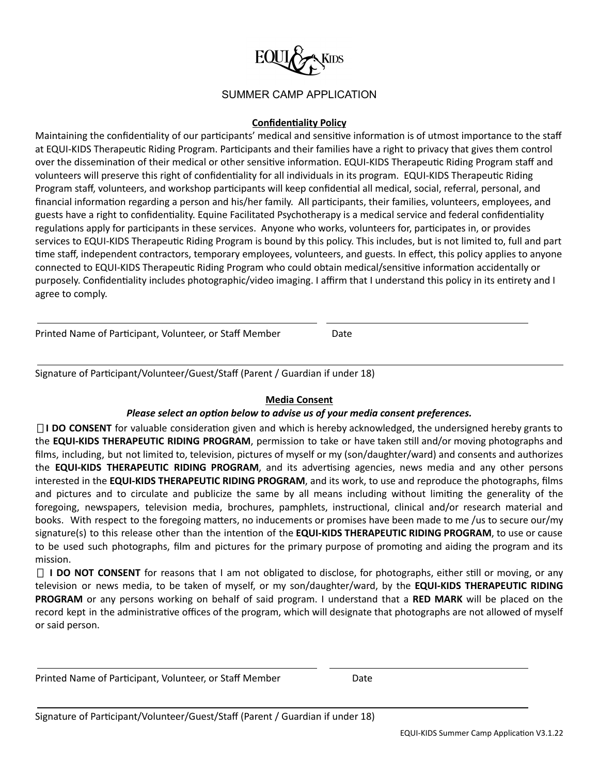

### **Confidentiality Policy**

Maintaining the confidentiality of our participants' medical and sensitive information is of utmost importance to the staff at EQUI-KIDS Therapeutic Riding Program. Participants and their families have a right to privacy that gives them control over the dissemination of their medical or other sensitive information. EQUI-KIDS Therapeutic Riding Program staff and volunteers will preserve this right of confidentiality for all individuals in its program. EQUI-KIDS Therapeutic Riding Program staff, volunteers, and workshop participants will keep confidential all medical, social, referral, personal, and financial information regarding a person and his/her family. All participants, their families, volunteers, employees, and guests have a right to confidentiality. Equine Facilitated Psychotherapy is a medical service and federal confidentiality regulations apply for participants in these services. Anyone who works, volunteers for, participates in, or provides services to EQUI-KIDS Therapeutic Riding Program is bound by this policy. This includes, but is not limited to, full and part me staff, independent contractors, temporary employees, volunteers, and guests. In effect, this policy applies to anyone connected to EQUI-KIDS Therapeutic Riding Program who could obtain medical/sensitive information accidentally or purposely. Confidentiality includes photographic/video imaging. I affirm that I understand this policy in its entirety and I agree to comply.

Printed Name of Participant, Volunteer, or Staff Member Date

Signature of Participant/Volunteer/Guest/Staff (Parent / Guardian if under 18)

### **Media Consent**

### *Please select an option below to advise us of your media consent preferences.*

□**I** DO CONSENT for valuable consideration given and which is hereby acknowledged, the undersigned hereby grants to the **EQUI-KIDS THERAPEUTIC RIDING PROGRAM**, permission to take or have taken sll and/or moving photographs and films, including, but not limited to, television, pictures of myself or my (son/daughter/ward) and consents and authorizes the **EQUI-KIDS THERAPEUTIC RIDING PROGRAM**, and its adversing agencies, news media and any other persons interested in the **EQUI-KIDS THERAPEUTIC RIDING PROGRAM**, and its work, to use and reproduce the photographs, films and pictures and to circulate and publicize the same by all means including without limiting the generality of the foregoing, newspapers, television media, brochures, pamphlets, instructional, clinical and/or research material and books. With respect to the foregoing matters, no inducements or promises have been made to me /us to secure our/my signature(s) to this release other than the intention of the **EQUI-KIDS THERAPEUTIC RIDING PROGRAM**, to use or cause to be used such photographs, film and pictures for the primary purpose of promoting and aiding the program and its mission.

▯ **I DO NOT CONSENT** for reasons that I am not obligated to disclose, for photographs, either sll or moving, or any television or news media, to be taken of myself, or my son/daughter/ward, by the **EQUI-KIDS THERAPEUTIC RIDING PROGRAM** or any persons working on behalf of said program. I understand that a **RED MARK** will be placed on the record kept in the administrative offices of the program, which will designate that photographs are not allowed of myself or said person.

Printed Name of Participant, Volunteer, or Staff Member **Date**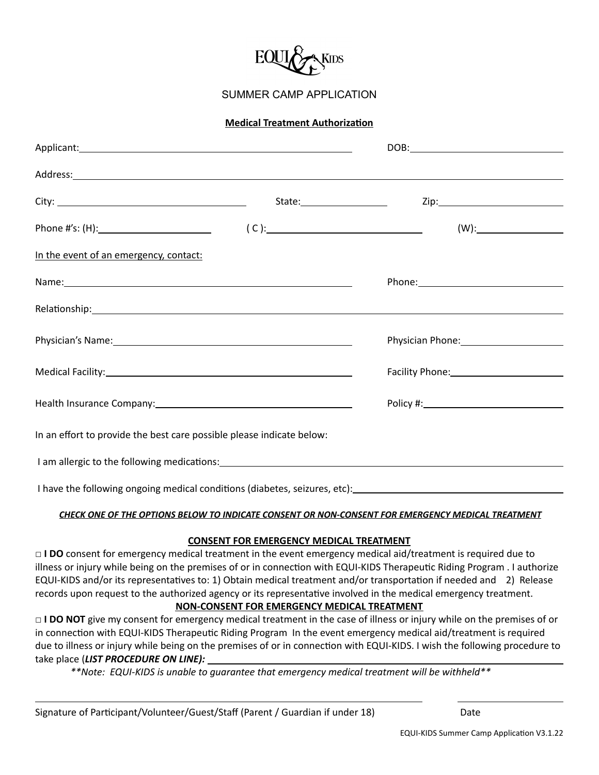

#### **Medical Treatment Authorization**

|                                                                                                                                                                                                                                      |                                                                                                                 | $(W)$ :               |  |
|--------------------------------------------------------------------------------------------------------------------------------------------------------------------------------------------------------------------------------------|-----------------------------------------------------------------------------------------------------------------|-----------------------|--|
| In the event of an emergency, contact:                                                                                                                                                                                               |                                                                                                                 |                       |  |
|                                                                                                                                                                                                                                      |                                                                                                                 |                       |  |
|                                                                                                                                                                                                                                      |                                                                                                                 |                       |  |
| Physician's Name: <u>and a series of the series of the series of the series of the series of the series of the series of the series of the series of the series of the series of the series of the series of the series of the s</u> |                                                                                                                 | Physician Phone: 1997 |  |
|                                                                                                                                                                                                                                      |                                                                                                                 |                       |  |
| Health Insurance Company: 1997-1997 Manuscript Company:                                                                                                                                                                              | Policy #: New York: New York: New York: New York: New York: New York: New York: New York: New York: New York: N |                       |  |
| In an effort to provide the best care possible please indicate below:                                                                                                                                                                |                                                                                                                 |                       |  |
|                                                                                                                                                                                                                                      |                                                                                                                 |                       |  |
| I have the following ongoing medical conditions (diabetes, seizures, etc):                                                                                                                                                           |                                                                                                                 |                       |  |

#### *CHECK ONE OF THE OPTIONS BELOW TO INDICATE CONSENT OR NON-CONSENT FOR EMERGENCY MEDICAL TREATMENT*

#### **CONSENT FOR EMERGENCY MEDICAL TREATMENT**

**□ I DO** consent for emergency medical treatment in the event emergency medical aid/treatment is required due to illness or injury while being on the premises of or in connection with EQUI-KIDS Therapeutic Riding Program . I authorize EQUI-KIDS and/or its representatives to: 1) Obtain medical treatment and/or transportation if needed and 2) Release records upon request to the authorized agency or its representative involved in the medical emergency treatment.

### **NON-CONSENT FOR EMERGENCY MEDICAL TREATMENT**

□ **I DO NOT** give my consent for emergency medical treatment in the case of illness or injury while on the premises of or in connection with EQUI-KIDS Therapeutic Riding Program In the event emergency medical aid/treatment is required due to illness or injury while being on the premises of or in connection with EQUI-KIDS. I wish the following procedure to take place (*LIST PROCEDURE ON LINE):*

*\*\*Note: EQUI-KIDS is unable to guarantee that emergency medical treatment will be withheld\*\**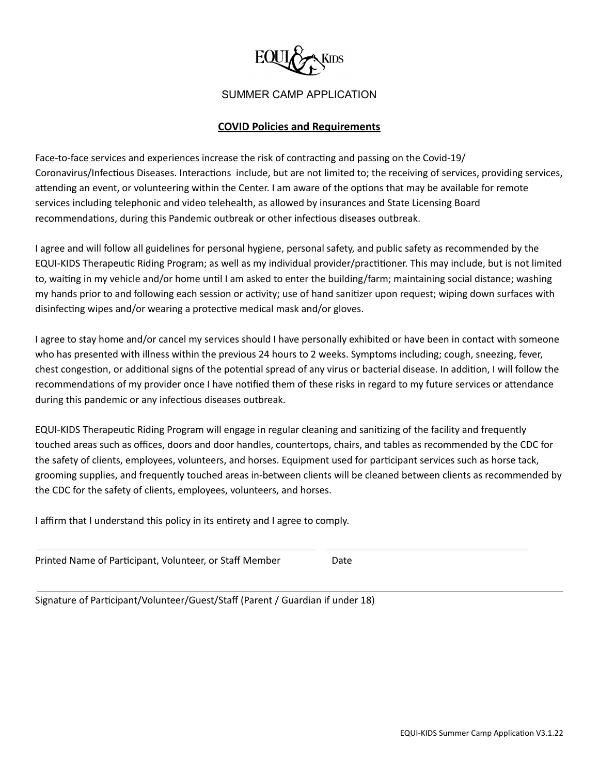

## **COVID Policies and Requirements**

Face-to-face services and experiences increase the risk of contracting and passing on the Covid-19/ Coronavirus/Infectious Diseases. Interactions include, but are not limited to; the receiving of services, providing services, attending an event, or volunteering within the Center. I am aware of the options that may be available for remote services including telephonic and video telehealth, as allowed by insurances and State Licensing Board recommendations, during this Pandemic outbreak or other infectious diseases outbreak.

I agree and will follow all guidelines for personal hygiene, personal safety, and public safety as recommended by the EQUI-KIDS Therapeutic Riding Program; as well as my individual provider/practitioner. This may include, but is not limited to, waiting in my vehicle and/or home until I am asked to enter the building/farm; maintaining social distance; washing my hands prior to and following each session or activity; use of hand sanitizer upon request; wiping down surfaces with disinfecting wipes and/or wearing a protective medical mask and/or gloves.

I agree to stay home and/or cancel my services should I have personally exhibited or have been in contact with someone who has presented with illness within the previous 24 hours to 2 weeks. Symptoms including; cough, sneezing, fever, chest congestion, or additional signs of the potential spread of any virus or bacterial disease. In addition, I will follow the recommendations of my provider once I have notified them of these risks in regard to my future services or attendance during this pandemic or any infectious diseases outbreak.

EQUI-KIDS Therapeutic Riding Program will engage in regular cleaning and sanitizing of the facility and frequently touched areas such as offices, doors and door handles, countertops, chairs, and tables as recommended by the CDC for the safety of clients, employees, volunteers, and horses. Equipment used for participant services such as horse tack, grooming supplies, and frequently touched areas in-between clients will be cleaned between clients as recommended by the CDC for the safety of clients, employees, volunteers, and horses.

I affirm that I understand this policy in its entirety and I agree to comply.

Printed Name of Participant, Volunteer, or Staff Member Date

Signature of Participant/Volunteer/Guest/Staff (Parent / Guardian if under 18)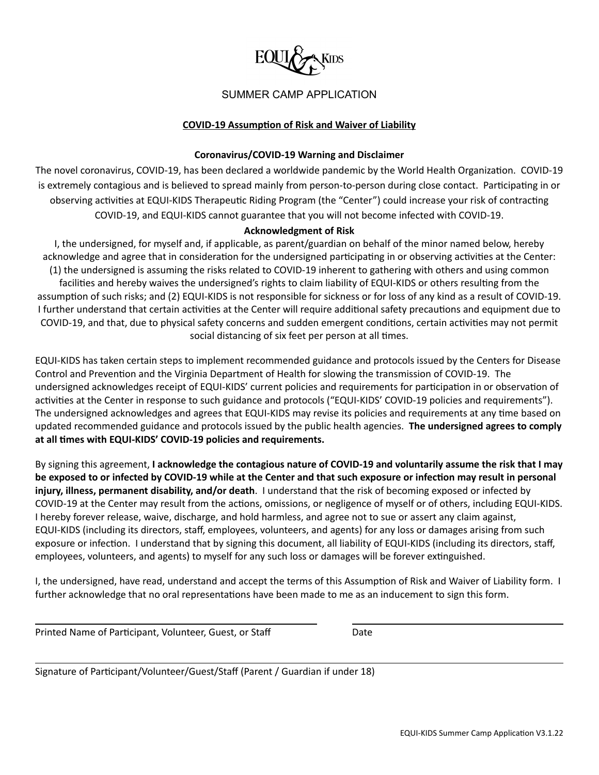

#### **COVID-19 Assumption of Risk and Waiver of Liability**

#### **Coronavirus/COVID-19 Warning and Disclaimer**

The novel coronavirus, COVID-19, has been declared a worldwide pandemic by the World Health Organization. COVID-19 is extremely contagious and is believed to spread mainly from person-to-person during close contact. Participating in or observing activities at EQUI-KIDS Therapeutic Riding Program (the "Center") could increase your risk of contracting COVID-19, and EQUI-KIDS cannot guarantee that you will not become infected with COVID-19.

### **Acknowledgment of Risk**

I, the undersigned, for myself and, if applicable, as parent/guardian on behalf of the minor named below, hereby acknowledge and agree that in consideration for the undersigned participating in or observing activities at the Center: (1) the undersigned is assuming the risks related to COVID-19 inherent to gathering with others and using common facilities and hereby waives the undersigned's rights to claim liability of EQUI-KIDS or others resulting from the assumption of such risks; and (2) EQUI-KIDS is not responsible for sickness or for loss of any kind as a result of COVID-19. I further understand that certain activities at the Center will require additional safety precautions and equipment due to COVID-19, and that, due to physical safety concerns and sudden emergent conditions, certain activities may not permit social distancing of six feet per person at all times.

EQUI-KIDS has taken certain steps to implement recommended guidance and protocols issued by the Centers for Disease Control and Prevention and the Virginia Department of Health for slowing the transmission of COVID-19. The undersigned acknowledges receipt of EQUI-KIDS' current policies and requirements for participation in or observation of activities at the Center in response to such guidance and protocols ("EQUI-KIDS' COVID-19 policies and requirements"). The undersigned acknowledges and agrees that EQUI-KIDS may revise its policies and requirements at any time based on updated recommended guidance and protocols issued by the public health agencies. **The undersigned agrees to comply at all mes with EQUI-KIDS' COVID-19 policies and requirements.**

By signing this agreement, **I acknowledge the contagious nature of COVID-19 and voluntarily assume the risk that I may** be exposed to or infected by COVID-19 while at the Center and that such exposure or infection may result in personal **injury, illness, permanent disability, and/or death**. I understand that the risk of becoming exposed or infected by COVID-19 at the Center may result from the actions, omissions, or negligence of myself or of others, including EQUI-KIDS. I hereby forever release, waive, discharge, and hold harmless, and agree not to sue or assert any claim against, EQUI-KIDS (including its directors, staff, employees, volunteers, and agents) for any loss or damages arising from such exposure or infection. I understand that by signing this document, all liability of EQUI-KIDS (including its directors, staff, employees, volunteers, and agents) to myself for any such loss or damages will be forever extinguished.

I, the undersigned, have read, understand and accept the terms of this Assumption of Risk and Waiver of Liability form. I further acknowledge that no oral representations have been made to me as an inducement to sign this form.

| Printed Name of Participant, Volunteer, Guest, or Staff | Date |
|---------------------------------------------------------|------|
|                                                         |      |

Signature of Participant/Volunteer/Guest/Staff (Parent / Guardian if under 18)